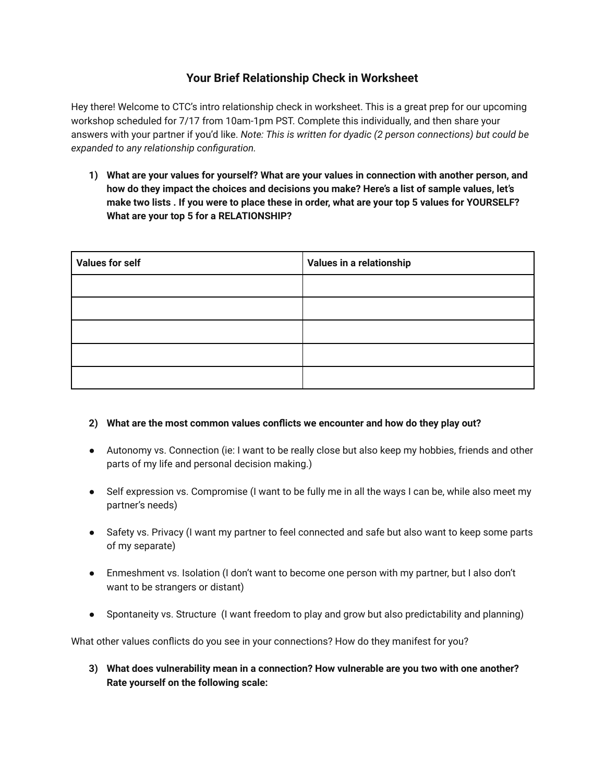## **Your Brief Relationship Check in Worksheet**

Hey there! Welcome to CTC's intro relationship check in worksheet. This is a great prep for our upcoming workshop scheduled for 7/17 from 10am-1pm PST. Complete this individually, and then share your answers with your partner if you'd like. *Note: This is written for dyadic (2 person connections) but could be expanded to any relationship configuration.*

**1) What are your values for yourself? What are your values in connection with another person, and how do they impact the choices and decisions you make? Here's a list of sample values, let's** make two lists . If you were to place these in order, what are your top 5 values for YOURSELF? **What are your top 5 for a RELATIONSHIP?**

| <b>Values for self</b> | Values in a relationship |
|------------------------|--------------------------|
|                        |                          |
|                        |                          |
|                        |                          |
|                        |                          |
|                        |                          |

## **2) What are the most common values conflicts we encounter and how do they play out?**

- Autonomy vs. Connection (ie: I want to be really close but also keep my hobbies, friends and other parts of my life and personal decision making.)
- Self expression vs. Compromise (I want to be fully me in all the ways I can be, while also meet my partner's needs)
- Safety vs. Privacy (I want my partner to feel connected and safe but also want to keep some parts of my separate)
- Enmeshment vs. Isolation (I don't want to become one person with my partner, but I also don't want to be strangers or distant)
- Spontaneity vs. Structure (I want freedom to play and grow but also predictability and planning)

What other values conflicts do you see in your connections? How do they manifest for you?

**3) What does vulnerability mean in a connection? How vulnerable are you two with one another? Rate yourself on the following scale:**